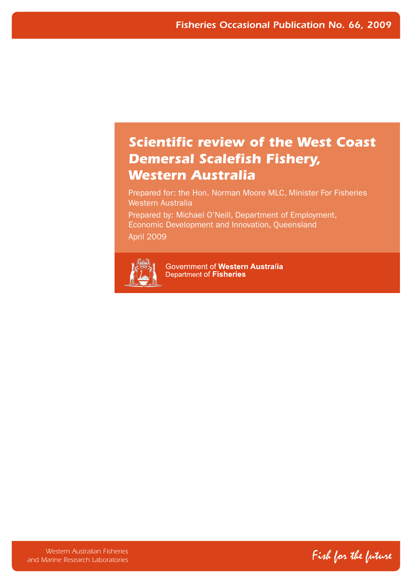# *Scientific review of the West Coast Demersal Scalefish Fishery, Western Australia*

Prepared for: the Hon. Norman Moore MLC, Minister For Fisheries Western Australia

Prepared by: Michael O'Neill, Department of Employment, Economic Development and Innovation, Queensland April 2009



Government of Western Australia Department of Fisheries

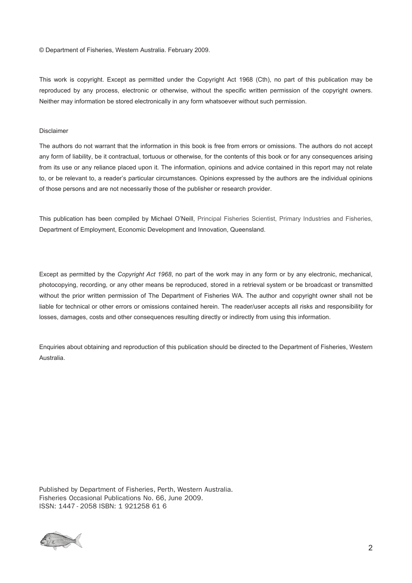© Department of Fisheries, Western Australia. February 2009.

This work is copyright. Except as permitted under the Copyright Act 1968 (Cth), no part of this publication may be reproduced by any process, electronic or otherwise, without the specific written permission of the copyright owners. Neither may information be stored electronically in any form whatsoever without such permission.

#### Disclaimer

The authors do not warrant that the information in this book is free from errors or omissions. The authors do not accept to, or be relevant to, a reader's particular circumstances. Opinions expressed by the authors are the individual opinions of those persons and are not necessarily those of the publisher or research provider. any form of liability, be it contractual, tortuous or otherwise, for the contents of this book or for any consequences arising from its use or any reliance placed upon it. The information, opinions and advice contained in this report may not relate

Department of Employment, Economic Development and Innovation, Queensland. This publication has been compiled by Michael O'Neill, Principal Fisheries Scientist, Primary Industries and Fisheries,

Except as permitted by the Copyright Act 1968, no part of the work may in any form or by any electronic, mechanical, photocopying, recording, or any other means be reproduced, stored in a retrieval system or be broadcast or transmitted losses, damages, costs and other consequences resulting directly or indirectly from using this information. without the prior written permission of The Department of Fisheries WA. The author and copyright owner shall not be liable for technical or other errors or omissions contained herein. The reader/user accepts all risks and responsibility for

Enquiries about obtaining and reproduction of this publication should be directed to the Department of Fisheries, Western Australia.

Published by Department of Fisheries, Perth, Western Australia. Fisheries Occasional Publications No. 66, June 2009. ISSN: 1447 - 2058 ISBN: 1 921258 61 6

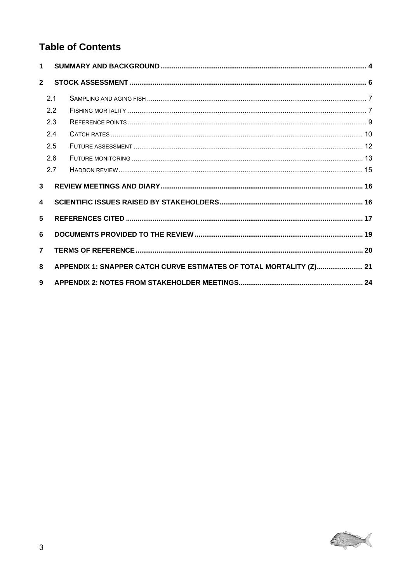# **Table of Contents**

| $\mathbf 1$             |     |                                                                     |  |
|-------------------------|-----|---------------------------------------------------------------------|--|
| $\overline{2}$          |     |                                                                     |  |
|                         | 2.1 |                                                                     |  |
|                         | 2.2 |                                                                     |  |
|                         | 2.3 |                                                                     |  |
|                         | 2.4 |                                                                     |  |
|                         | 2.5 |                                                                     |  |
|                         | 2.6 |                                                                     |  |
|                         | 2.7 |                                                                     |  |
| $\overline{\mathbf{3}}$ |     |                                                                     |  |
| 4                       |     |                                                                     |  |
| 5                       |     |                                                                     |  |
| 6                       |     |                                                                     |  |
| $\overline{7}$          |     |                                                                     |  |
| 8                       |     | APPENDIX 1: SNAPPER CATCH CURVE ESTIMATES OF TOTAL MORTALITY (Z) 21 |  |
| 9                       |     |                                                                     |  |

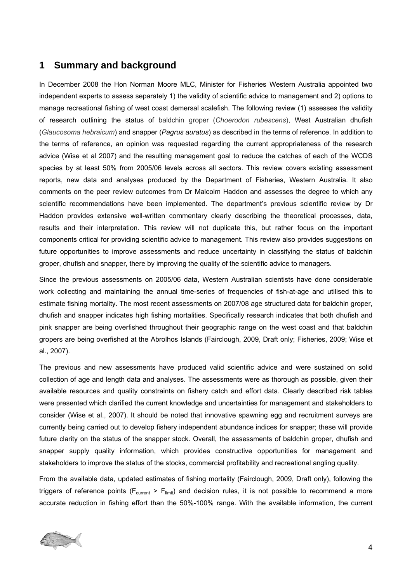### <span id="page-3-0"></span>**1 Summary and background**

In December 2008 the Hon Norman Moore MLC, Minister for Fisheries Western Australia appointed two independent experts to assess separately 1) the validity of scientific advice to management and 2) options to manage recreational fishing of west coast demersal scalefish. The following review (1) assesses the validity of research outlining the status of baldchin groper (*Choerodon rubescens*), West Australian dhufish (*Glaucosoma hebraicum*) and snapper (*Pagrus auratus*) as described in the terms of reference. In addition to the terms of reference, an opinion was requested regarding the current appropriateness of the research advice (Wise et al 2007) and the resulting management goal to reduce the catches of each of the WCDS species by at least 50% from 2005/06 levels across all sectors. This review covers existing assessment reports, new data and analyses produced by the Department of Fisheries, Western Australia. It also comments on the peer review outcomes from Dr Malcolm Haddon and assesses the degree to which any scientific recommendations have been implemented. The department's previous scientific review by Dr Haddon provides extensive well-written commentary clearly describing the theoretical processes, data, results and their interpretation. This review will not duplicate this, but rather focus on the important components critical for providing scientific advice to management. This review also provides suggestions on future opportunities to improve assessments and reduce uncertainty in classifying the status of baldchin groper, dhufish and snapper, there by improving the quality of the scientific advice to managers.

Since the previous assessments on 2005/06 data, Western Australian scientists have done considerable work collecting and maintaining the annual time-series of frequencies of fish-at-age and utilised this to estimate fishing mortality. The most recent assessments on 2007/08 age structured data for baldchin groper, dhufish and snapper indicates high fishing mortalities. Specifically research indicates that both dhufish and pink snapper are being overfished throughout their geographic range on the west coast and that baldchin gropers are being overfished at the Abrolhos Islands (Fairclough, 2009, Draft only; Fisheries, 2009; Wise et al., 2007).

The previous and new assessments have produced valid scientific advice and were sustained on solid collection of age and length data and analyses. The assessments were as thorough as possible, given their available resources and quality constraints on fishery catch and effort data. Clearly described risk tables were presented which clarified the current knowledge and uncertainties for management and stakeholders to consider (Wise et al., 2007). It should be noted that innovative spawning egg and recruitment surveys are currently being carried out to develop fishery independent abundance indices for snapper; these will provide future clarity on the status of the snapper stock. Overall, the assessments of baldchin groper, dhufish and snapper supply quality information, which provides constructive opportunities for management and stakeholders to improve the status of the stocks, commercial profitability and recreational angling quality.

From the available data, updated estimates of fishing mortality (Fairclough, 2009, Draft only), following the triggers of reference points ( $F_{current} > F_{limit}$ ) and decision rules, it is not possible to recommend a more accurate reduction in fishing effort than the 50%-100% range. With the available information, the current

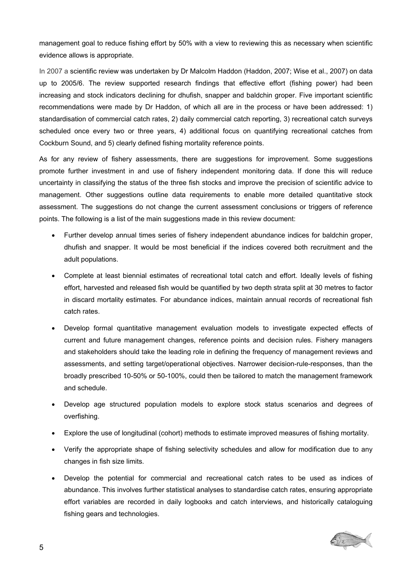management goal to reduce fishing effort by 50% with a view to reviewing this as necessary when scientific evidence allows is appropriate.

In 2007 a scientific review was undertaken by Dr Malcolm Haddon (Haddon, 2007; Wise et al., 2007) on data up to 2005/6. The review supported research findings that effective effort (fishing power) had been increasing and stock indicators declining for dhufish, snapper and baldchin groper. Five important scientific recommendations were made by Dr Haddon, of which all are in the process or have been addressed: 1) standardisation of commercial catch rates, 2) daily commercial catch reporting, 3) recreational catch surveys scheduled once every two or three years, 4) additional focus on quantifying recreational catches from Cockburn Sound, and 5) clearly defined fishing mortality reference points.

As for any review of fishery assessments, there are suggestions for improvement. Some suggestions promote further investment in and use of fishery independent monitoring data. If done this will reduce uncertainty in classifying the status of the three fish stocks and improve the precision of scientific advice to management. Other suggestions outline data requirements to enable more detailed quantitative stock assessment. The suggestions do not change the current assessment conclusions or triggers of reference points. The following is a list of the main suggestions made in this review document:

- Further develop annual times series of fishery independent abundance indices for baldchin groper, dhufish and snapper. It would be most beneficial if the indices covered both recruitment and the adult populations.
- Complete at least biennial estimates of recreational total catch and effort. Ideally levels of fishing effort, harvested and released fish would be quantified by two depth strata split at 30 metres to factor in discard mortality estimates. For abundance indices, maintain annual records of recreational fish catch rates.
- Develop formal quantitative management evaluation models to investigate expected effects of current and future management changes, reference points and decision rules. Fishery managers and stakeholders should take the leading role in defining the frequency of management reviews and assessments, and setting target/operational objectives. Narrower decision-rule-responses, than the broadly prescribed 10-50% or 50-100%, could then be tailored to match the management framework and schedule.
- Develop age structured population models to explore stock status scenarios and degrees of overfishing.
- Explore the use of longitudinal (cohort) methods to estimate improved measures of fishing mortality.
- Verify the appropriate shape of fishing selectivity schedules and allow for modification due to any changes in fish size limits.
- Develop the potential for commercial and recreational catch rates to be used as indices of abundance. This involves further statistical analyses to standardise catch rates, ensuring appropriate effort variables are recorded in daily logbooks and catch interviews, and historically cataloguing fishing gears and technologies.

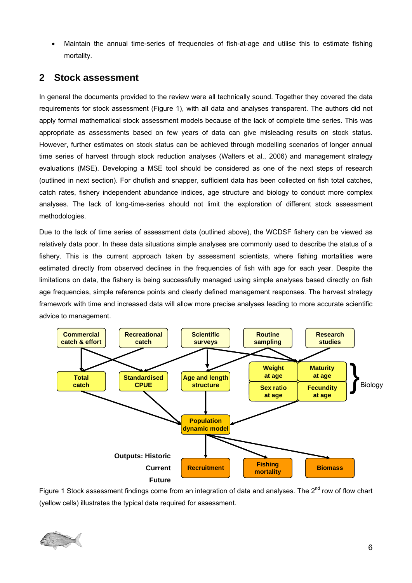<span id="page-5-0"></span>• Maintain the annual time-series of frequencies of fish-at-age and utilise this to estimate fishing mortality.

## **2 Stock assessment**

In general the documents provided to the review were all technically sound. Together they covered the data requirements for stock assessment [\(Figure 1\)](#page-5-1), with all data and analyses transparent. The authors did not apply formal mathematical stock assessment models because of the lack of complete time series. This was appropriate as assessments based on few years of data can give misleading results on stock status. However, further estimates on stock status can be achieved through modelling scenarios of longer annual time series of harvest through stock reduction analyses (Walters et al., 2006) and management strategy evaluations (MSE). Developing a MSE tool should be considered as one of the next steps of research (outlined in next section). For dhufish and snapper, sufficient data has been collected on fish total catches, catch rates, fishery independent abundance indices, age structure and biology to conduct more complex analyses. The lack of long-time-series should not limit the exploration of different stock assessment methodologies.

Due to the lack of time series of assessment data (outlined above), the WCDSF fishery can be viewed as relatively data poor. In these data situations simple analyses are commonly used to describe the status of a fishery. This is the current approach taken by assessment scientists, where fishing mortalities were estimated directly from observed declines in the frequencies of fish with age for each year. Despite the limitations on data, the fishery is being successfully managed using simple analyses based directly on fish age frequencies, simple reference points and clearly defined management responses. The harvest strategy framework with time and increased data will allow more precise analyses leading to more accurate scientific advice to management.



<span id="page-5-1"></span>Figure 1 Stock assessment findings come from an integration of data and analyses. The  $2^{nd}$  row of flow chart (yellow cells) illustrates the typical data required for assessment.

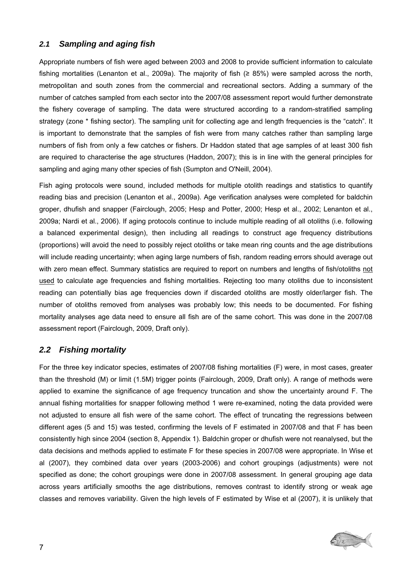### <span id="page-6-0"></span>*2.1 Sampling and aging fish*

Appropriate numbers of fish were aged between 2003 and 2008 to provide sufficient information to calculate fishing mortalities (Lenanton et al., 2009a). The majority of fish (≥ 85%) were sampled across the north, metropolitan and south zones from the commercial and recreational sectors. Adding a summary of the number of catches sampled from each sector into the 2007/08 assessment report would further demonstrate the fishery coverage of sampling. The data were structured according to a random-stratified sampling strategy (zone \* fishing sector). The sampling unit for collecting age and length frequencies is the "catch". It is important to demonstrate that the samples of fish were from many catches rather than sampling large numbers of fish from only a few catches or fishers. Dr Haddon stated that age samples of at least 300 fish are required to characterise the age structures (Haddon, 2007); this is in line with the general principles for sampling and aging many other species of fish (Sumpton and O'Neill, 2004).

Fish aging protocols were sound, included methods for multiple otolith readings and statistics to quantify reading bias and precision (Lenanton et al., 2009a). Age verification analyses were completed for baldchin groper, dhufish and snapper (Fairclough, 2005; Hesp and Potter, 2000; Hesp et al., 2002; Lenanton et al., 2009a; Nardi et al., 2006). If aging protocols continue to include multiple reading of all otoliths (i.e. following a balanced experimental design), then including all readings to construct age frequency distributions (proportions) will avoid the need to possibly reject otoliths or take mean ring counts and the age distributions will include reading uncertainty; when aging large numbers of fish, random reading errors should average out with zero mean effect. Summary statistics are required to report on numbers and lengths of fish/otoliths not used to calculate age frequencies and fishing mortalities. Rejecting too many otoliths due to inconsistent reading can potentially bias age frequencies down if discarded otoliths are mostly older/larger fish. The number of otoliths removed from analyses was probably low; this needs to be documented. For fishing mortality analyses age data need to ensure all fish are of the same cohort. This was done in the 2007/08 assessment report (Fairclough, 2009, Draft only).

### *2.2 Fishing mortality*

For the three key indicator species, estimates of 2007/08 fishing mortalities (F) were, in most cases, greater than the threshold (M) or limit (1.5M) trigger points (Fairclough, 2009, Draft only). A range of methods were applied to examine the significance of age frequency truncation and show the uncertainty around F. The annual fishing mortalities for snapper following method 1 were re-examined, noting the data provided were not adjusted to ensure all fish were of the same cohort. The effect of truncating the regressions between different ages (5 and 15) was tested, confirming the levels of F estimated in 2007/08 and that F has been consistently high since 2004 (section [8](#page-20-1), Appendix 1). Baldchin groper or dhufish were not reanalysed, but the data decisions and methods applied to estimate F for these species in 2007/08 were appropriate. In Wise et al (2007), they combined data over years (2003-2006) and cohort groupings (adjustments) were not specified as done; the cohort groupings were done in 2007/08 assessment. In general grouping age data across years artificially smooths the age distributions, removes contrast to identify strong or weak age classes and removes variability. Given the high levels of F estimated by Wise et al (2007), it is unlikely that

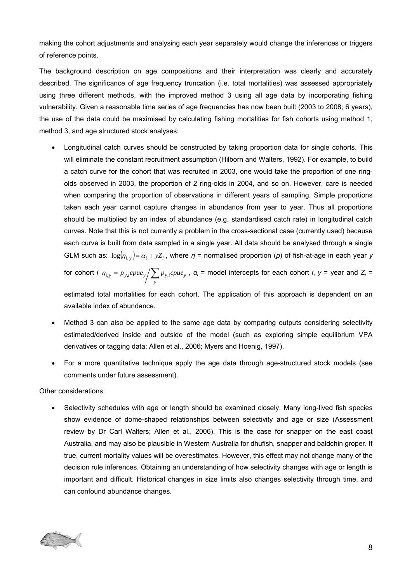making the cohort adjustments and analysing each year separately would change the inferences or triggers of reference points.

The background description on age compositions and their interpretation was clearly and accurately described. The significance of age frequency truncation (i.e. total mortalities) was assessed appropriately using three different methods, with the improved method 3 using all age data by incorporating fishing vulnerability. Given a reasonable time series of age frequencies has now been built (2003 to 2008; 6 years), the use of the data could be maximised by calculating fishing mortalities for fish cohorts using method 1, method 3, and age structured stock analyses:

• Longitudinal catch curves should be constructed by taking proportion data for single cohorts. This will eliminate the constant recruitment assumption (Hilborn and Walters, 1992). For example, to build a catch curve for the cohort that was recruited in 2003, one would take the proportion of one ringolds observed in 2003, the proportion of 2 ring-olds in 2004, and so on. However, care is needed when comparing the proportion of observations in different years of sampling. Simple proportions taken each year cannot capture changes in abundance from year to year. Thus all proportions should be multiplied by an index of abundance (e.g. standardised catch rate) in longitudinal catch curves. Note that this is not currently a problem in the cross-sectional case (currently used) because each curve is built from data sampled in a single year. All data should be analysed through a single GLM such as:  $log(\eta_{i, y}) = \alpha_{i} + yZ_{i}$ , where  $\eta$  = normalised proportion (*p*) of fish-at-age in each year *y* 

for cohort *i*  $\eta_{i,y} = p_{y,i}cpue_y \bigg/ \sum_{y}$  $\eta_{i,y} = p_{y,i}c p u e_y / \sum p_{y,i}c p u e_y$ ,  $\alpha_i$  = model intercepts for each cohort *i*,  $y$  = year and  $Z_i$  =

estimated total mortalities for each cohort. The application of this approach is dependent on an available index of abundance.

- Method 3 can also be applied to the same age data by comparing outputs considering selectivity estimated/derived inside and outside of the model (such as exploring simple equilibrium VPA derivatives or tagging data; Allen et al., 2006; Myers and Hoenig, 1997).
- For a more quantitative technique apply the age data through age-structured stock models (see comments under future assessment).

Other considerations:

• Selectivity schedules with age or length should be examined closely. Many long-lived fish species show evidence of dome-shaped relationships between selectivity and age or size (Assessment review by Dr Carl Walters; Allen et al., 2006). This is the case for snapper on the east coast Australia, and may also be plausible in Western Australia for dhufish, snapper and baldchin groper. If true, current mortality values will be overestimates. However, this effect may not change many of the decision rule inferences. Obtaining an understanding of how selectivity changes with age or length is important and difficult. Historical changes in size limits also changes selectivity through time, and can confound abundance changes.

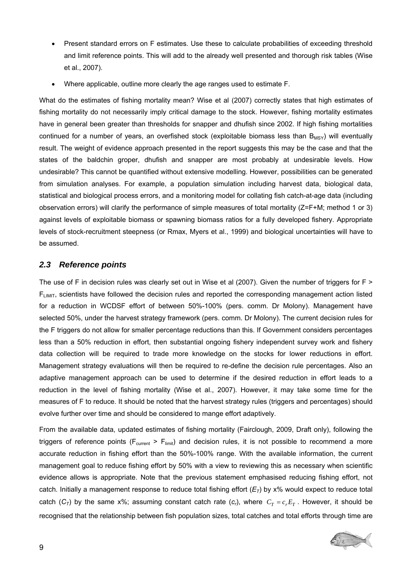- <span id="page-8-0"></span>• Present standard errors on F estimates. Use these to calculate probabilities of exceeding threshold and limit reference points. This will add to the already well presented and thorough risk tables (Wise et al., 2007).
- Where applicable, outline more clearly the age ranges used to estimate F.

What do the estimates of fishing mortality mean? Wise et al (2007) correctly states that high estimates of fishing mortality do not necessarily imply critical damage to the stock. However, fishing mortality estimates have in general been greater than thresholds for snapper and dhufish since 2002. If high fishing mortalities continued for a number of years, an overfished stock (exploitable biomass less than  $B_{MSY}$ ) will eventually result. The weight of evidence approach presented in the report suggests this may be the case and that the states of the baldchin groper, dhufish and snapper are most probably at undesirable levels. How undesirable? This cannot be quantified without extensive modelling. However, possibilities can be generated from simulation analyses. For example, a population simulation including harvest data, biological data, statistical and biological process errors, and a monitoring model for collating fish catch-at-age data (including observation errors) will clarify the performance of simple measures of total mortality (Z=F+M; method 1 or 3) against levels of exploitable biomass or spawning biomass ratios for a fully developed fishery. Appropriate levels of stock-recruitment steepness (or Rmax, Myers et al., 1999) and biological uncertainties will have to be assumed.

### *2.3 Reference points*

The use of F in decision rules was clearly set out in Wise et al (2007). Given the number of triggers for F > FLIMIT, scientists have followed the decision rules and reported the corresponding management action listed for a reduction in WCDSF effort of between 50%-100% (pers. comm. Dr Molony). Management have selected 50%, under the harvest strategy framework (pers. comm. Dr Molony). The current decision rules for the F triggers do not allow for smaller percentage reductions than this. If Government considers percentages less than a 50% reduction in effort, then substantial ongoing fishery independent survey work and fishery data collection will be required to trade more knowledge on the stocks for lower reductions in effort. Management strategy evaluations will then be required to re-define the decision rule percentages. Also an adaptive management approach can be used to determine if the desired reduction in effort leads to a reduction in the level of fishing mortality (Wise et al., 2007). However, it may take some time for the measures of F to reduce. It should be noted that the harvest strategy rules (triggers and percentages) should evolve further over time and should be considered to mange effort adaptively.

From the available data, updated estimates of fishing mortality (Fairclough, 2009, Draft only), following the triggers of reference points ( $F_{\text{current}}$  >  $F_{\text{limit}}$ ) and decision rules, it is not possible to recommend a more accurate reduction in fishing effort than the 50%-100% range. With the available information, the current management goal to reduce fishing effort by 50% with a view to reviewing this as necessary when scientific evidence allows is appropriate. Note that the previous statement emphasised reducing fishing effort, not catch. Initially a management response to reduce total fishing effort  $(E<sub>T</sub>)$  by x% would expect to reduce total catch ( $C_T$ ) by the same x%; assuming constant catch rate ( $c_r$ ), where  $C_T = c_r E_T$ . However, it should be recognised that the relationship between fish population sizes, total catches and total efforts through time are

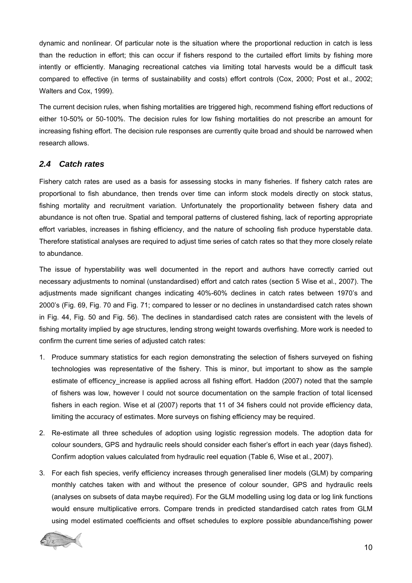<span id="page-9-0"></span>dynamic and nonlinear. Of particular note is the situation where the proportional reduction in catch is less than the reduction in effort; this can occur if fishers respond to the curtailed effort limits by fishing more intently or efficiently. Managing recreational catches via limiting total harvests would be a difficult task compared to effective (in terms of sustainability and costs) effort controls (Cox, 2000; Post et al., 2002; Walters and Cox, 1999).

The current decision rules, when fishing mortalities are triggered high, recommend fishing effort reductions of either 10-50% or 50-100%. The decision rules for low fishing mortalities do not prescribe an amount for increasing fishing effort. The decision rule responses are currently quite broad and should be narrowed when research allows.

### *2.4 Catch rates*

Fishery catch rates are used as a basis for assessing stocks in many fisheries. If fishery catch rates are proportional to fish abundance, then trends over time can inform stock models directly on stock status, fishing mortality and recruitment variation. Unfortunately the proportionality between fishery data and abundance is not often true. Spatial and temporal patterns of clustered fishing, lack of reporting appropriate effort variables, increases in fishing efficiency, and the nature of schooling fish produce hyperstable data. Therefore statistical analyses are required to adjust time series of catch rates so that they more closely relate to abundance.

The issue of hyperstability was well documented in the report and authors have correctly carried out necessary adjustments to nominal (unstandardised) effort and catch rates (section 5 Wise et al., 2007). The adjustments made significant changes indicating 40%-60% declines in catch rates between 1970's and 2000's (Fig. 69, Fig. 70 and Fig. 71; compared to lesser or no declines in unstandardised catch rates shown in Fig. 44, Fig. 50 and Fig. 56). The declines in standardised catch rates are consistent with the levels of fishing mortality implied by age structures, lending strong weight towards overfishing. More work is needed to confirm the current time series of adjusted catch rates:

- 1. Produce summary statistics for each region demonstrating the selection of fishers surveyed on fishing technologies was representative of the fishery. This is minor, but important to show as the sample estimate of efficency\_increase is applied across all fishing effort. Haddon (2007) noted that the sample of fishers was low, however I could not source documentation on the sample fraction of total licensed fishers in each region. Wise et al (2007) reports that 11 of 34 fishers could not provide efficiency data, limiting the accuracy of estimates. More surveys on fishing efficiency may be required.
- 2. Re-estimate all three schedules of adoption using logistic regression models. The adoption data for colour sounders, GPS and hydraulic reels should consider each fisher's effort in each year (days fished). Confirm adoption values calculated from hydraulic reel equation (Table 6, Wise et al., 2007).
- 3. For each fish species, verify efficiency increases through generalised liner models (GLM) by comparing monthly catches taken with and without the presence of colour sounder, GPS and hydraulic reels (analyses on subsets of data maybe required). For the GLM modelling using log data or log link functions would ensure multiplicative errors. Compare trends in predicted standardised catch rates from GLM using model estimated coefficients and offset schedules to explore possible abundance/fishing power

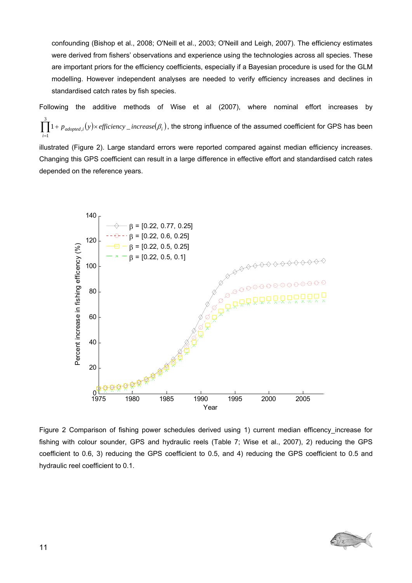confounding (Bishop et al., 2008; O'Neill et al., 2003; O'Neill and Leigh, 2007). The efficiency estimates were derived from fishers' observations and experience using the technologies across all species. These are important priors for the efficiency coefficients, especially if a Bayesian procedure is used for the GLM modelling. However independent analyses are needed to verify efficiency increases and declines in standardised catch rates by fish species.

Following the additive methods of Wise et al (2007), where nominal effort increases by  $\prod_{i=1} 1+p_{\text{adopted},i}(y) \times \text{efficiency\_increase}(\beta_i)$ , the strong influence of the assumed coefficient for GPS has been 3 1  $1 + p_{adopted,i}(y) \times \text{efficiency}_{-}$ *i*  $p_{\mathit{adopted},i}(y)$ × efficiency \_ increase $(\beta_i)$ 

illustrated ( [Figure 2\)](#page-10-0). Large standard errors were reported compared against median efficiency increases. Changing this GPS coefficient can result in a large difference in effective effort and standardised catch rates depended on the reference years.



<span id="page-10-0"></span>Figure 2 Comparison of fishing power schedules derived using 1) current median efficency increase for fishing with colour sounder, GPS and hydraulic reels (Table 7; Wise et al., 2007), 2) reducing the GPS coefficient to 0.6, 3) reducing the GPS coefficient to 0.5, and 4) reducing the GPS coefficient to 0.5 and hydraulic reel coefficient to 0.1.

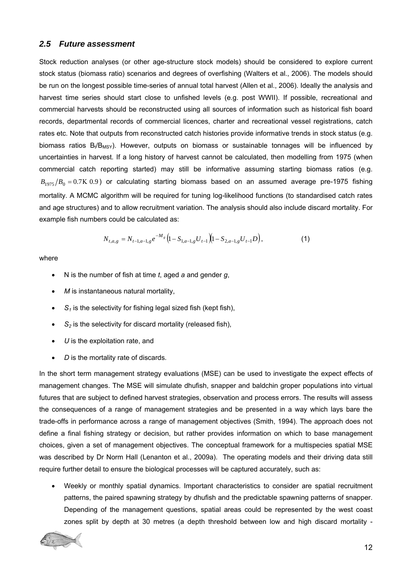#### <span id="page-11-0"></span>*2.5 Future assessment*

Stock reduction analyses (or other age-structure stock models) should be considered to explore current stock status (biomass ratio) scenarios and degrees of overfishing (Walters et al., 2006). The models should be run on the longest possible time-series of annual total harvest (Allen et al., 2006). Ideally the analysis and harvest time series should start close to unfished levels (e.g. post WWII). If possible, recreational and commercial harvests should be reconstructed using all sources of information such as historical fish board records, departmental records of commercial licences, charter and recreational vessel registrations, catch rates etc. Note that outputs from reconstructed catch histories provide informative trends in stock status (e.g. biomass ratios  $B_t/B_{MSY}$ ). However, outputs on biomass or sustainable tonnages will be influenced by uncertainties in harvest. If a long history of harvest cannot be calculated, then modelling from 1975 (when commercial catch reporting started) may still be informative assuming starting biomass ratios (e.g.  $B_{1975}/B_0 = 0.7K$  0.9) or calculating starting biomass based on an assumed average pre-1975 fishing mortality. A MCMC algorithm will be required for tuning log-likelihood functions (to standardised catch rates and age structures) and to allow recruitment variation. The analysis should also include discard mortality. For example fish numbers could be calculated as:

$$
N_{t,a,g} = N_{t-1,a-1,g} e^{-M_g} \left( 1 - S_{1,a-1,g} U_{t-1} \right) \left( 1 - S_{2,a-1,g} U_{t-1} D \right),\tag{1}
$$

where

- N is the number of fish at time *t*, aged *a* and gender *g*,
- *M* is instantaneous natural mortality,
- $\bullet$   $S_1$  is the selectivity for fishing legal sized fish (kept fish),
- $\bullet$   $S_2$  is the selectivity for discard mortality (released fish),
- *U* is the exploitation rate, and
- *D* is the mortality rate of discards*.*

In the short term management strategy evaluations (MSE) can be used to investigate the expect effects of management changes. The MSE will simulate dhufish, snapper and baldchin groper populations into virtual futures that are subject to defined harvest strategies, observation and process errors. The results will assess the consequences of a range of management strategies and be presented in a way which lays bare the trade-offs in performance across a range of management objectives (Smith, 1994). The approach does not define a final fishing strategy or decision, but rather provides information on which to base management choices, given a set of management objectives. The conceptual framework for a multispecies spatial MSE was described by Dr Norm Hall (Lenanton et al., 2009a). The operating models and their driving data still require further detail to ensure the biological processes will be captured accurately, such as:

• Weekly or monthly spatial dynamics. Important characteristics to consider are spatial recruitment patterns, the paired spawning strategy by dhufish and the predictable spawning patterns of snapper. Depending of the management questions, spatial areas could be represented by the west coast zones split by depth at 30 metres (a depth threshold between low and high discard mortality -

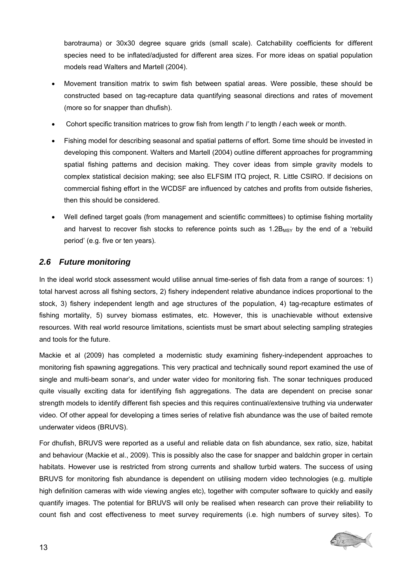<span id="page-12-0"></span>barotrauma) or 30x30 degree square grids (small scale). Catchability coefficients for different species need to be inflated/adjusted for different area sizes. For more ideas on spatial population models read Walters and Martell (2004).

- Movement transition matrix to swim fish between spatial areas. Were possible, these should be constructed based on tag-recapture data quantifying seasonal directions and rates of movement (more so for snapper than dhufish).
- Cohort specific transition matrices to grow fish from length *l'* to length *l* each week or month.
- Fishing model for describing seasonal and spatial patterns of effort. Some time should be invested in developing this component. Walters and Martell (2004) outline different approaches for programming spatial fishing patterns and decision making. They cover ideas from simple gravity models to complex statistical decision making; see also ELFSIM ITQ project, R. Little CSIRO. If decisions on commercial fishing effort in the WCDSF are influenced by catches and profits from outside fisheries, then this should be considered.
- Well defined target goals (from management and scientific committees) to optimise fishing mortality and harvest to recover fish stocks to reference points such as  $1.2B_{MSY}$  by the end of a 'rebuild period' (e.g. five or ten years).

### *2.6 Future monitoring*

In the ideal world stock assessment would utilise annual time-series of fish data from a range of sources: 1) total harvest across all fishing sectors, 2) fishery independent relative abundance indices proportional to the stock, 3) fishery independent length and age structures of the population, 4) tag-recapture estimates of fishing mortality, 5) survey biomass estimates, etc. However, this is unachievable without extensive resources. With real world resource limitations, scientists must be smart about selecting sampling strategies and tools for the future.

Mackie et al (2009) has completed a modernistic study examining fishery-independent approaches to monitoring fish spawning aggregations. This very practical and technically sound report examined the use of single and multi-beam sonar's, and under water video for monitoring fish. The sonar techniques produced quite visually exciting data for identifying fish aggregations. The data are dependent on precise sonar strength models to identify different fish species and this requires continual/extensive truthing via underwater video. Of other appeal for developing a times series of relative fish abundance was the use of baited remote underwater videos (BRUVS).

For dhufish, BRUVS were reported as a useful and reliable data on fish abundance, sex ratio, size, habitat and behaviour (Mackie et al., 2009). This is possibly also the case for snapper and baldchin groper in certain habitats. However use is restricted from strong currents and shallow turbid waters. The success of using BRUVS for monitoring fish abundance is dependent on utilising modern video technologies (e.g. multiple high definition cameras with wide viewing angles etc), together with computer software to quickly and easily quantify images. The potential for BRUVS will only be realised when research can prove their reliability to count fish and cost effectiveness to meet survey requirements (i.e. high numbers of survey sites). To

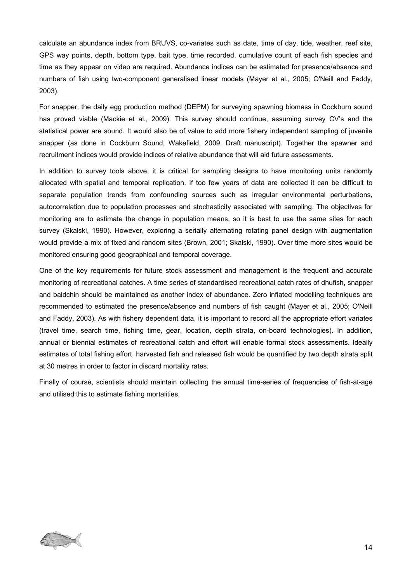calculate an abundance index from BRUVS, co-variates such as date, time of day, tide, weather, reef site, GPS way points, depth, bottom type, bait type, time recorded, cumulative count of each fish species and time as they appear on video are required. Abundance indices can be estimated for presence/absence and numbers of fish using two-component generalised linear models (Mayer et al., 2005; O'Neill and Faddy, 2003).

For snapper, the daily egg production method (DEPM) for surveying spawning biomass in Cockburn sound has proved viable (Mackie et al., 2009). This survey should continue, assuming survey CV's and the statistical power are sound. It would also be of value to add more fishery independent sampling of juvenile snapper (as done in Cockburn Sound, Wakefield, 2009, Draft manuscript). Together the spawner and recruitment indices would provide indices of relative abundance that will aid future assessments.

In addition to survey tools above, it is critical for sampling designs to have monitoring units randomly allocated with spatial and temporal replication. If too few years of data are collected it can be difficult to separate population trends from confounding sources such as irregular environmental perturbations, autocorrelation due to population processes and stochasticity associated with sampling. The objectives for monitoring are to estimate the change in population means, so it is best to use the same sites for each survey (Skalski, 1990). However, exploring a serially alternating rotating panel design with augmentation would provide a mix of fixed and random sites (Brown, 2001; Skalski, 1990). Over time more sites would be monitored ensuring good geographical and temporal coverage.

One of the key requirements for future stock assessment and management is the frequent and accurate monitoring of recreational catches. A time series of standardised recreational catch rates of dhufish, snapper and baldchin should be maintained as another index of abundance. Zero inflated modelling techniques are recommended to estimated the presence/absence and numbers of fish caught (Mayer et al., 2005; O'Neill and Faddy, 2003). As with fishery dependent data, it is important to record all the appropriate effort variates (travel time, search time, fishing time, gear, location, depth strata, on-board technologies). In addition, annual or biennial estimates of recreational catch and effort will enable formal stock assessments. Ideally estimates of total fishing effort, harvested fish and released fish would be quantified by two depth strata split at 30 metres in order to factor in discard mortality rates.

Finally of course, scientists should maintain collecting the annual time-series of frequencies of fish-at-age and utilised this to estimate fishing mortalities.

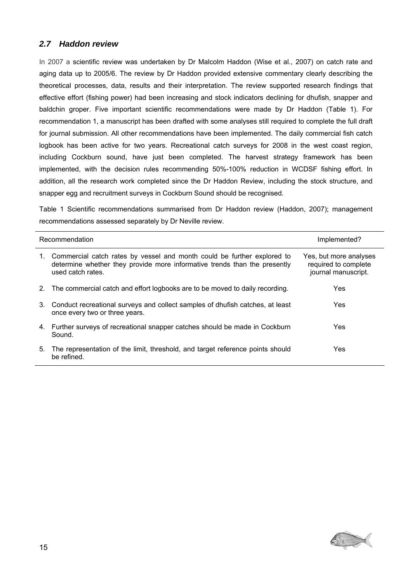### <span id="page-14-0"></span>*2.7 Haddon review*

In 2007 a scientific review was undertaken by Dr Malcolm Haddon (Wise et al., 2007) on catch rate and aging data up to 2005/6. The review by Dr Haddon provided extensive commentary clearly describing the theoretical processes, data, results and their interpretation. The review supported research findings that effective effort (fishing power) had been increasing and stock indicators declining for dhufish, snapper and baldchin groper. Five important scientific recommendations were made by Dr Haddon [\(Table 1\)](#page-14-1). For recommendation 1, a manuscript has been drafted with some analyses still required to complete the full draft for journal submission. All other recommendations have been implemented. The daily commercial fish catch logbook has been active for two years. Recreational catch surveys for 2008 in the west coast region, including Cockburn sound, have just been completed. The harvest strategy framework has been implemented, with the decision rules recommending 50%-100% reduction in WCDSF fishing effort. In addition, all the research work completed since the Dr Haddon Review, including the stock structure, and snapper egg and recruitment surveys in Cockburn Sound should be recognised.

<span id="page-14-1"></span>Table 1 Scientific recommendations summarised from Dr Haddon review (Haddon, 2007); management recommendations assessed separately by Dr Neville review.

|    | Recommendation                                                                                                                                                            | Implemented?                                                          |  |
|----|---------------------------------------------------------------------------------------------------------------------------------------------------------------------------|-----------------------------------------------------------------------|--|
| 1. | Commercial catch rates by vessel and month could be further explored to<br>determine whether they provide more informative trends than the presently<br>used catch rates. | Yes, but more analyses<br>required to complete<br>journal manuscript. |  |
| 2. | The commercial catch and effort logbooks are to be moved to daily recording.                                                                                              | Yes                                                                   |  |
|    | 3. Conduct recreational surveys and collect samples of dhufish catches, at least<br>once every two or three years.                                                        | <b>Yes</b>                                                            |  |
|    | 4. Further surveys of recreational snapper catches should be made in Cockburn<br>Sound.                                                                                   | <b>Yes</b>                                                            |  |
| 5. | The representation of the limit, threshold, and target reference points should<br>be refined.                                                                             | Yes                                                                   |  |

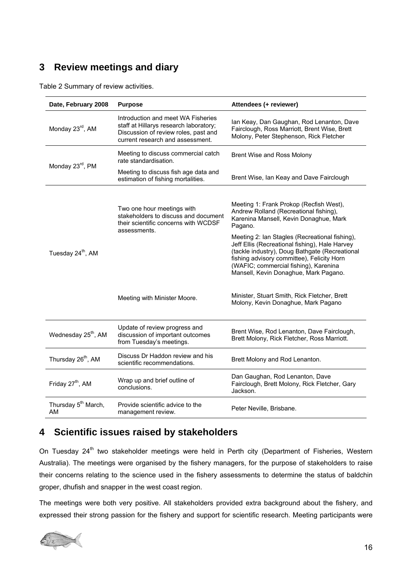# <span id="page-15-0"></span>**3 Review meetings and diary**

Table 2 Summary of review activities.

| Date, February 2008                   | <b>Purpose</b>                                                                                                                                           | Attendees (+ reviewer)                                                                                                                                                                                                                                                                                                                                                                                                       |  |  |
|---------------------------------------|----------------------------------------------------------------------------------------------------------------------------------------------------------|------------------------------------------------------------------------------------------------------------------------------------------------------------------------------------------------------------------------------------------------------------------------------------------------------------------------------------------------------------------------------------------------------------------------------|--|--|
| Monday 23rd, AM                       | Introduction and meet WA Fisheries<br>staff at Hillarys research laboratory;<br>Discussion of review roles, past and<br>current research and assessment. | Ian Keay, Dan Gaughan, Rod Lenanton, Dave<br>Fairclough, Ross Marriott, Brent Wise, Brett<br>Molony, Peter Stephenson, Rick Fletcher                                                                                                                                                                                                                                                                                         |  |  |
| Monday 23 <sup>rd</sup> , PM          | Meeting to discuss commercial catch<br>rate standardisation.                                                                                             | Brent Wise and Ross Molony                                                                                                                                                                                                                                                                                                                                                                                                   |  |  |
|                                       | Meeting to discuss fish age data and<br>estimation of fishing mortalities.                                                                               | Brent Wise, Ian Keay and Dave Fairclough                                                                                                                                                                                                                                                                                                                                                                                     |  |  |
| Tuesday 24 <sup>th</sup> , AM         | Two one hour meetings with<br>stakeholders to discuss and document<br>their scientific concerns with WCDSF<br>assessments.                               | Meeting 1: Frank Prokop (Recfish West),<br>Andrew Rolland (Recreational fishing),<br>Karenina Mansell, Kevin Donaghue, Mark<br>Pagano.<br>Meeting 2: Ian Stagles (Recreational fishing),<br>Jeff Ellis (Recreational fishing), Hale Harvey<br>(tackle industry), Doug Bathgate (Recreational<br>fishing advisory committee), Felicity Horn<br>(WAFIC; commercial fishing), Karenina<br>Mansell, Kevin Donaghue, Mark Pagano. |  |  |
|                                       | Meeting with Minister Moore.                                                                                                                             | Minister, Stuart Smith, Rick Fletcher, Brett<br>Molony, Kevin Donaghue, Mark Pagano                                                                                                                                                                                                                                                                                                                                          |  |  |
| Wednesday 25 <sup>th</sup> , AM       | Update of review progress and<br>discussion of important outcomes<br>from Tuesday's meetings.                                                            | Brent Wise, Rod Lenanton, Dave Fairclough,<br>Brett Molony, Rick Fletcher, Ross Marriott.                                                                                                                                                                                                                                                                                                                                    |  |  |
| Thursday 26 <sup>th</sup> , AM        | Discuss Dr Haddon review and his<br>scientific recommendations.                                                                                          | Brett Molony and Rod Lenanton.                                                                                                                                                                                                                                                                                                                                                                                               |  |  |
| Friday 27 <sup>th</sup> , AM          | Wrap up and brief outline of<br>conclusions.                                                                                                             | Dan Gaughan, Rod Lenanton, Dave<br>Fairclough, Brett Molony, Rick Fletcher, Gary<br>Jackson.                                                                                                                                                                                                                                                                                                                                 |  |  |
| Thursday 5 <sup>th</sup> March,<br>AM | Provide scientific advice to the<br>management review.                                                                                                   | Peter Neville, Brisbane.                                                                                                                                                                                                                                                                                                                                                                                                     |  |  |

# **4 Scientific issues raised by stakeholders**

On Tuesday 24<sup>th</sup> two stakeholder meetings were held in Perth city (Department of Fisheries, Western Australia). The meetings were organised by the fishery managers, for the purpose of stakeholders to raise their concerns relating to the science used in the fishery assessments to determine the status of baldchin groper, dhufish and snapper in the west coast region.

The meetings were both very positive. All stakeholders provided extra background about the fishery, and expressed their strong passion for the fishery and support for scientific research. Meeting participants were

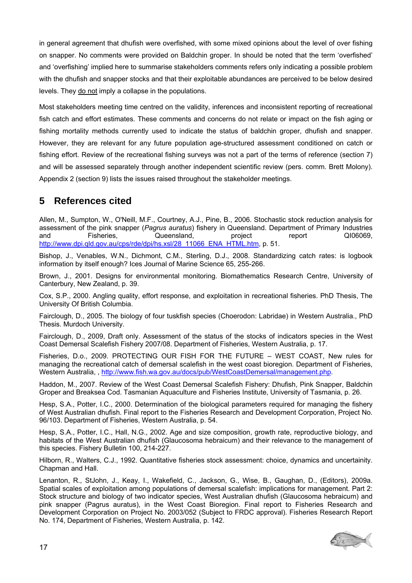<span id="page-16-0"></span>in general agreement that dhufish were overfished, with some mixed opinions about the level of over fishing on snapper. No comments were provided on Baldchin groper. In should be noted that the term 'overfished' and 'overfishing' implied here to summarise stakeholders comments refers only indicating a possible problem with the dhufish and snapper stocks and that their exploitable abundances are perceived to be below desired levels. They do not imply a collapse in the populations.

Most stakeholders meeting time centred on the validity, inferences and inconsistent reporting of recreational fish catch and effort estimates. These comments and concerns do not relate or impact on the fish aging or fishing mortality methods currently used to indicate the status of baldchin groper, dhufish and snapper. However, they are relevant for any future population age-structured assessment conditioned on catch or fishing effort. Review of the recreational fishing surveys was not a part of the terms of reference (section [7](#page-19-1)) and will be assessed separately through another independent scientific review (pers. comm. Brett Molony). Appendix 2 (section [9\)](#page-23-1) lists the issues raised throughout the stakeholder meetings.

# **5 References cited**

Allen, M., Sumpton, W., O'Neill, M.F., Courtney, A.J., Pine, B., 2006. Stochastic stock reduction analysis for assessment of the pink snapper (*Pagrus auratus*) fishery in Queensland. Department of Primary Industries and Fisheries, Queensland, project report QI06069, [http://www.dpi.qld.gov.au/cps/rde/dpi/hs.xsl/28\\_11066\\_ENA\\_HTML.htm](http://www.dpi.qld.gov.au/cps/rde/dpi/hs.xsl/28_11066_ENA_HTML.htm), p. 51.

Bishop, J., Venables, W.N., Dichmont, C.M., Sterling, D.J., 2008. Standardizing catch rates: is logbook information by itself enough? Ices Journal of Marine Science 65, 255-266.

Brown, J., 2001. Designs for environmental monitoring. Biomathematics Research Centre, University of Canterbury, New Zealand, p. 39.

Cox, S.P., 2000. Angling quality, effort response, and exploitation in recreational fisheries. PhD Thesis, The University Of British Columbia.

Fairclough, D., 2005. The biology of four tuskfish species (Choerodon: Labridae) in Western Australia., PhD Thesis. Murdoch University.

Fairclough, D., 2009, Draft only. Assessment of the status of the stocks of indicators species in the West Coast Demersal Scalefish Fishery 2007/08. Department of Fisheries, Western Australia, p. 17.

Fisheries, D.o., 2009. PROTECTING OUR FISH FOR THE FUTURE – WEST COAST, New rules for managing the recreational catch of demersal scalefish in the west coast bioregion. Department of Fisheries, Western Australia, , [http://www.fish.wa.gov.au/docs/pub/WestCoastDemersal/management.php.](http://www.fish.wa.gov.au/docs/pub/WestCoastDemersal/management.php)

Haddon, M., 2007. Review of the West Coast Demersal Scalefish Fishery: Dhufish, Pink Snapper, Baldchin Groper and Breaksea Cod. Tasmanian Aquaculture and Fisheries Institute, University of Tasmania, p. 26.

Hesp, S.A., Potter, I.C., 2000. Determination of the biological parameters required for managing the fishery of West Australian dhufish. Final report to the Fisheries Research and Development Corporation, Project No. 96/103. Department of Fisheries, Western Australia, p. 54.

Hesp, S.A., Potter, I.C., Hall, N.G., 2002. Age and size composition, growth rate, reproductive biology, and habitats of the West Australian dhufish (Glaucosoma hebraicum) and their relevance to the management of this species. Fishery Bulletin 100, 214-227.

Hilborn, R., Walters, C.J., 1992. Quantitative fisheries stock assessment: choice, dynamics and uncertainity. Chapman and Hall.

Lenanton, R., StJohn, J., Keay, I., Wakefield, C., Jackson, G., Wise, B., Gaughan, D., (Editors), 2009a. Spatial scales of exploitation among populations of demersal scalefish: implications for management. Part 2: Stock structure and biology of two indicator species, West Australian dhufish (Glaucosoma hebraicum) and pink snapper (Pagrus auratus), in the West Coast Bioregion. Final report to Fisheries Research and Development Corporation on Project No. 2003/052 (Subject to FRDC approval). Fisheries Research Report No. 174, Department of Fisheries, Western Australia, p. 142.

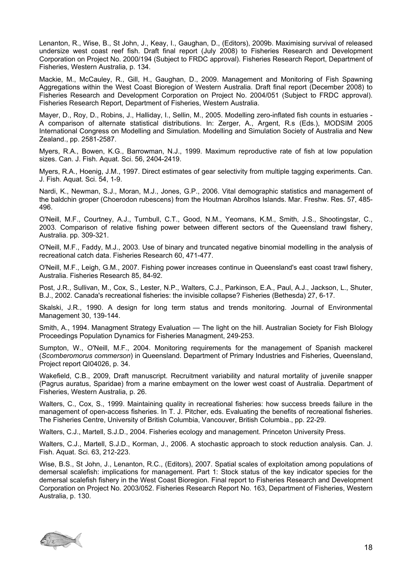Lenanton, R., Wise, B., St John, J., Keay, I., Gaughan, D., (Editors), 2009b. Maximising survival of released undersize west coast reef fish. Draft final report (July 2008) to Fisheries Research and Development Corporation on Project No. 2000/194 (Subject to FRDC approval). Fisheries Research Report, Department of Fisheries, Western Australia, p. 134.

Mackie, M., McCauley, R., Gill, H., Gaughan, D., 2009. Management and Monitoring of Fish Spawning Aggregations within the West Coast Bioregion of Western Australia. Draft final report (December 2008) to Fisheries Research and Development Corporation on Project No. 2004/051 (Subject to FRDC approval). Fisheries Research Report, Department of Fisheries, Western Australia.

Mayer, D., Roy, D., Robins, J., Halliday, I., Sellin, M., 2005. Modelling zero-inflated fish counts in estuaries - A comparison of alternate statistical distributions. In: Zerger, A., Argent, R.s (Eds.), MODSIM 2005 International Congress on Modelling and Simulation. Modelling and Simulation Society of Australia and New Zealand., pp. 2581-2587.

Myers, R.A., Bowen, K.G., Barrowman, N.J., 1999. Maximum reproductive rate of fish at low population sizes. Can. J. Fish. Aquat. Sci. 56, 2404-2419.

Myers, R.A., Hoenig, J.M., 1997. Direct estimates of gear selectivity from multiple tagging experiments. Can. J. Fish. Aquat. Sci. 54, 1-9.

Nardi, K., Newman, S.J., Moran, M.J., Jones, G.P., 2006. Vital demographic statistics and management of the baldchin groper (Choerodon rubescens) from the Houtman Abrolhos Islands. Mar. Freshw. Res. 57, 485- 496.

O'Neill, M.F., Courtney, A.J., Turnbull, C.T., Good, N.M., Yeomans, K.M., Smith, J.S., Shootingstar, C., 2003. Comparison of relative fishing power between different sectors of the Queensland trawl fishery, Australia. pp. 309-321.

O'Neill, M.F., Faddy, M.J., 2003. Use of binary and truncated negative binomial modelling in the analysis of recreational catch data. Fisheries Research 60, 471-477.

O'Neill, M.F., Leigh, G.M., 2007. Fishing power increases continue in Queensland's east coast trawl fishery, Australia. Fisheries Research 85, 84-92.

Post, J.R., Sullivan, M., Cox, S., Lester, N.P., Walters, C.J., Parkinson, E.A., Paul, A.J., Jackson, L., Shuter, B.J., 2002. Canada's recreational fisheries: the invisible collapse? Fisheries (Bethesda) 27, 6-17.

Skalski, J.R., 1990. A design for long term status and trends monitoring. Journal of Environmental Management 30, 139-144.

Smith, A., 1994. Managment Strategy Evaluation — The light on the hill. Australian Society for Fish BIology Proceedings Population Dynamics for Fisheries Managment, 249-253.

Sumpton, W., O'Neill, M.F., 2004. Monitoring requirements for the management of Spanish mackerel (*Scomberomorus commerson*) in Queensland. Department of Primary Industries and Fisheries, Queensland, Project report QI04026, p. 34.

Wakefield, C.B., 2009, Draft manuscript. Recruitment variability and natural mortality of juvenile snapper (Pagrus auratus, Sparidae) from a marine embayment on the lower west coast of Australia. Department of Fisheries, Western Australia, p. 26.

Walters, C., Cox, S., 1999. Maintaining quality in recreational fisheries: how success breeds failure in the management of open-access fisheries. In T. J. Pitcher, eds. Evaluating the benefits of recreational fisheries. The Fisheries Centre, University of British Columbia, Vancouver, British Columbia., pp. 22-29.

Walters, C.J., Martell, S.J.D., 2004. Fisheries ecology and management. Princeton University Press.

Walters, C.J., Martell, S.J.D., Korman, J., 2006. A stochastic approach to stock reduction analysis. Can. J. Fish. Aquat. Sci. 63, 212-223.

Wise, B.S., St John, J., Lenanton, R.C., (Editors), 2007. Spatial scales of exploitation among populations of demersal scalefish: implications for management. Part 1: Stock status of the key indicator species for the demersal scalefish fishery in the West Coast Bioregion. Final report to Fisheries Research and Development Corporation on Project No. 2003/052. Fisheries Research Report No. 163, Department of Fisheries, Western Australia, p. 130.

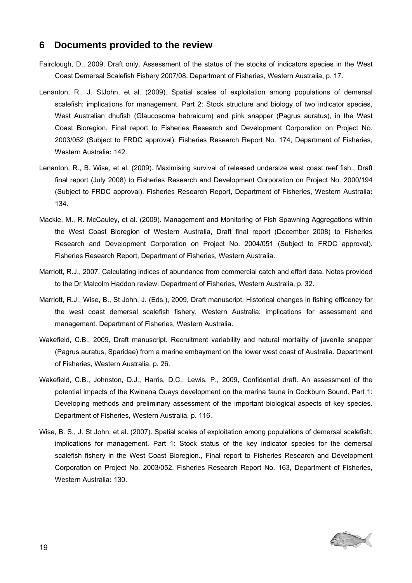### <span id="page-18-0"></span>**6 Documents provided to the review**

- Fairclough, D., 2009, Draft only. Assessment of the status of the stocks of indicators species in the West Coast Demersal Scalefish Fishery 2007/08. Department of Fisheries, Western Australia, p. 17.
- Lenanton, R., J. StJohn, et al. (2009). Spatial scales of exploitation among populations of demersal scalefish: implications for management. Part 2: Stock structure and biology of two indicator species, West Australian dhufish (Glaucosoma hebraicum) and pink snapper (Pagrus auratus), in the West Coast Bioregion, Final report to Fisheries Research and Development Corporation on Project No. 2003/052 (Subject to FRDC approval). Fisheries Research Report No. 174, Department of Fisheries, Western Australia**:** 142.
- Lenanton, R., B. Wise, et al. (2009). Maximising survival of released undersize west coast reef fish., Draft final report (July 2008) to Fisheries Research and Development Corporation on Project No. 2000/194 (Subject to FRDC approval). Fisheries Research Report, Department of Fisheries, Western Australia**:**  134.
- Mackie, M., R. McCauley, et al. (2009). Management and Monitoring of Fish Spawning Aggregations within the West Coast Bioregion of Western Australia, Draft final report (December 2008) to Fisheries Research and Development Corporation on Project No. 2004/051 (Subject to FRDC approval). Fisheries Research Report, Department of Fisheries, Western Australia.
- Marriott, R.J., 2007. Calculating indices of abundance from commercial catch and effort data. Notes provided to the Dr Malcolm Haddon review. Department of Fisheries, Western Australia, p. 32.
- Marriott, R.J., Wise, B., St John, J. (Eds.), 2009, Draft manuscript. Historical changes in fishing efficency for the west coast demersal scalefish fishery, Western Australia: implications for assessment and management. Department of Fisheries, Western Australia.
- Wakefield, C.B., 2009, Draft manuscript. Recruitment variability and natural mortality of juvenile snapper (Pagrus auratus, Sparidae) from a marine embayment on the lower west coast of Australia. Department of Fisheries, Western Australia, p. 26.
- Wakefield, C.B., Johnston, D.J., Harris, D.C., Lewis, P., 2009, Confidential draft. An assessment of the potential impacts of the Kwinana Quays development on the marina fauna in Cockburn Sound. Part 1: Developing methods and preliminary assessment of the important biological aspects of key species. Department of Fisheries, Western Australia, p. 116.
- Wise, B. S., J. St John, et al. (2007). Spatial scales of exploitation among populations of demersal scalefish: implications for management. Part 1: Stock status of the key indicator species for the demersal scalefish fishery in the West Coast Bioregion., Final report to Fisheries Research and Development Corporation on Project No. 2003/052. Fisheries Research Report No. 163, Department of Fisheries, Western Australia**:** 130.

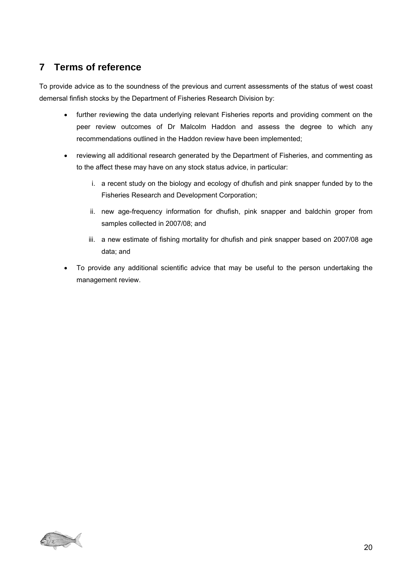# <span id="page-19-1"></span><span id="page-19-0"></span>**7 Terms of reference**

To provide advice as to the soundness of the previous and current assessments of the status of west coast demersal finfish stocks by the Department of Fisheries Research Division by:

- further reviewing the data underlying relevant Fisheries reports and providing comment on the peer review outcomes of Dr Malcolm Haddon and assess the degree to which any recommendations outlined in the Haddon review have been implemented;
- reviewing all additional research generated by the Department of Fisheries, and commenting as to the affect these may have on any stock status advice, in particular:
	- i. a recent study on the biology and ecology of dhufish and pink snapper funded by to the Fisheries Research and Development Corporation;
	- ii. new age-frequency information for dhufish, pink snapper and baldchin groper from samples collected in 2007/08; and
	- iii. a new estimate of fishing mortality for dhufish and pink snapper based on 2007/08 age data; and
- To provide any additional scientific advice that may be useful to the person undertaking the management review.

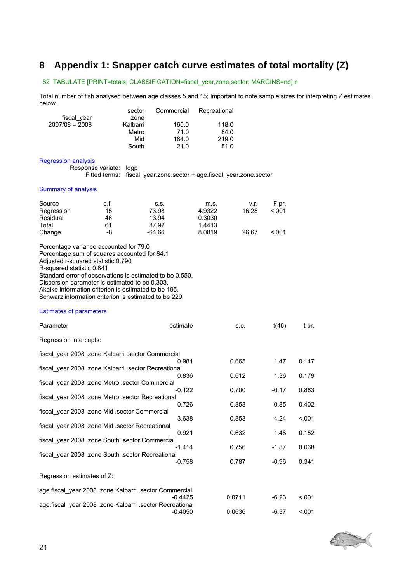# <span id="page-20-1"></span><span id="page-20-0"></span>**8 Appendix 1: Snapper catch curve estimates of total mortality (Z)**

#### 82 TABULATE [PRINT=totals; CLASSIFICATION=fiscal\_year,zone,sector; MARGINS=no] n

Total number of fish analysed between age classes 5 and 15; Important to note sample sizes for interpreting Z estimates below.

|                  | sector   | Commercial | Recreational |
|------------------|----------|------------|--------------|
| fiscal year      | zone     |            |              |
| $2007/08 = 2008$ | Kalbarri | 160.0      | 118.0        |
|                  | Metro    | 71.0       | 84.0         |
|                  | Mid      | 184.0      | 219.0        |
|                  | South    | 21.0       | 51.0         |

#### Regression analysis

Response variate: logp

Fitted terms: fiscal\_year.zone.sector + age.fiscal\_year.zone.sector

#### Summary of analysis

| Source     | d.f. | S.S.   | m.s.   | v.r.  | F pr. |
|------------|------|--------|--------|-------|-------|
| Regression | 15   | 73.98  | 4.9322 | 16.28 | < 001 |
| Residual   | 46   | 13.94  | 0.3030 |       |       |
| Total      | 61   | 87.92  | 1.4413 |       |       |
| Change     | -8   | -64.66 | 8.0819 | 26.67 | < 001 |

Percentage variance accounted for 79.0 Percentage sum of squares accounted for 84.1 Adjusted r-squared statistic 0.790 R-squared statistic 0.841 Standard error of observations is estimated to be 0.550. Dispersion parameter is estimated to be 0.303. Akaike information criterion is estimated to be 195. Schwarz information criterion is estimated to be 229.

#### Estimates of parameters

| Parameter                                                | estimate  | s.e.   | t(46)   | t pr.   |
|----------------------------------------------------------|-----------|--------|---------|---------|
| Regression intercepts:                                   |           |        |         |         |
| fiscal year 2008 .zone Kalbarri .sector Commercial       |           |        |         |         |
|                                                          | 0.981     | 0.665  | 1.47    | 0.147   |
| fiscal year 2008 .zone Kalbarri .sector Recreational     |           |        |         |         |
|                                                          | 0.836     | 0.612  | 1.36    | 0.179   |
| fiscal_year 2008 .zone Metro .sector Commercial          | $-0.122$  | 0.700  | $-0.17$ | 0.863   |
| fiscal_year 2008 .zone Metro .sector Recreational        |           |        |         |         |
|                                                          | 0.726     | 0.858  | 0.85    | 0.402   |
| fiscal year 2008 .zone Mid .sector Commercial            |           |        |         |         |
|                                                          | 3.638     | 0.858  | 4.24    | < 0.001 |
| fiscal year 2008 .zone Mid .sector Recreational          |           |        |         |         |
|                                                          | 0.921     | 0.632  | 1.46    | 0.152   |
| fiscal year 2008 .zone South .sector Commercial          |           |        |         |         |
| fiscal year 2008 .zone South .sector Recreational        | $-1.414$  | 0.756  | $-1.87$ | 0.068   |
|                                                          | $-0.758$  | 0.787  | $-0.96$ | 0.341   |
|                                                          |           |        |         |         |
| Regression estimates of Z:                               |           |        |         |         |
| age.fiscal_year 2008 .zone Kalbarri .sector Commercial   |           |        |         |         |
|                                                          | $-0.4425$ | 0.0711 | $-6.23$ | < 0.001 |
| age.fiscal_year 2008 .zone Kalbarri .sector Recreational |           |        |         |         |
|                                                          | $-0.4050$ | 0.0636 | $-6.37$ | < 0.001 |
|                                                          |           |        |         |         |

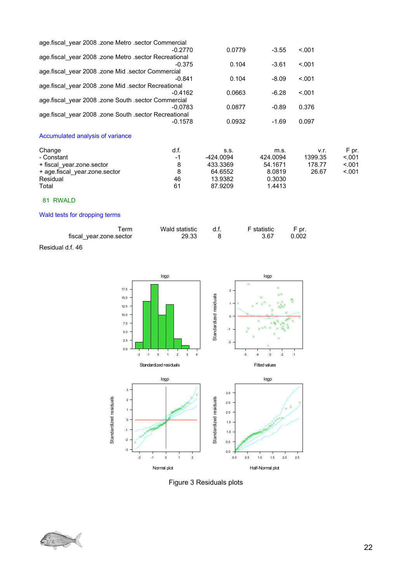| age.fiscal year 2008 .zone Metro .sector Commercial   |        |         |        |  |
|-------------------------------------------------------|--------|---------|--------|--|
| $-0.2770$                                             | 0.0779 | $-3.55$ | < 0.01 |  |
| age fiscal year 2008 .zone Metro .sector Recreational |        |         |        |  |
| $-0.375$                                              | 0.104  | $-3.61$ | < 0.01 |  |
| age fiscal year 2008 .zone Mid .sector Commercial     |        |         |        |  |
| $-0.841$                                              | 0.104  | $-8.09$ | < 0.01 |  |
| age fiscal year 2008 .zone Mid .sector Recreational   |        |         |        |  |
| $-0.4162$                                             | 0.0663 | $-6.28$ | < 0.01 |  |
| age fiscal year 2008 .zone South sector Commercial    |        |         |        |  |
| $-0.0783$                                             | 0.0877 | $-0.89$ | 0.376  |  |
| age fiscal year 2008 .zone South .sector Recreational |        |         |        |  |
| $-0.1578$                                             | 0.0932 | $-1.69$ | 0.097  |  |
|                                                       |        |         |        |  |

### Accumulated analysis of variance

| Change<br>- Constant          | d.f.<br>-1 | S.S.<br>-424.0094 | m.s.<br>424.0094 | v.r.<br>1399.35 | F pr.<br>< 0.01 |
|-------------------------------|------------|-------------------|------------------|-----------------|-----------------|
| + fiscal year.zone.sector     |            | 433.3369          | 54.1671          | 178.77          | < 0.01          |
| + age.fiscal year.zone.sector |            | 64.6552           | 8.0819           | 26.67           | < 0.01          |
| Residual                      | 46         | 13.9382           | 0.3030           |                 |                 |
| Total                         | 61         | 87.9209           | 1.4413           |                 |                 |

### 81 RWALD

#### Wald tests for dropping terms

| Ferm                    | Wald statistic | d.f. | F statistic | F pr. |
|-------------------------|----------------|------|-------------|-------|
| fiscal year.zone.sector | 29.33          |      | 3.67        | 0.002 |

Residual d.f. 46



Figure 3 Residuals plots

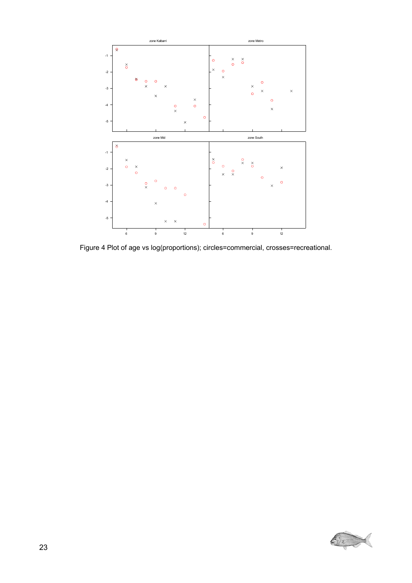

Figure 4 Plot of age vs log(proportions); circles=commercial, crosses=recreational.